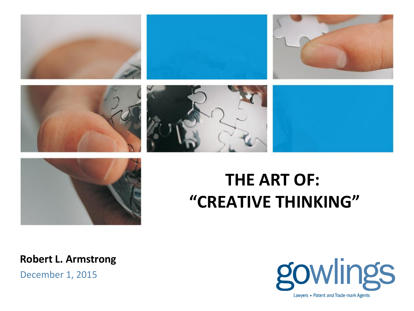













# **THE ART OF: "CREATIVE THINKING"**

**Robert L. Armstrong**

December 1, 2015

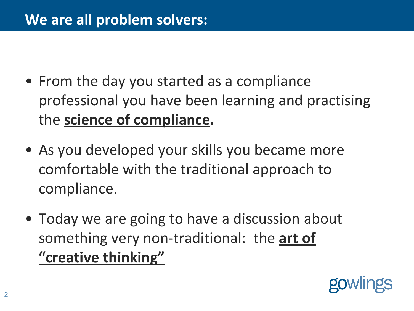- From the day you started as a compliance professional you have been learning and practising the **science of compliance.**
- As you developed your skills you became more comfortable with the traditional approach to compliance.
- Today we are going to have a discussion about something very non-traditional: the **art of "creative thinking"**

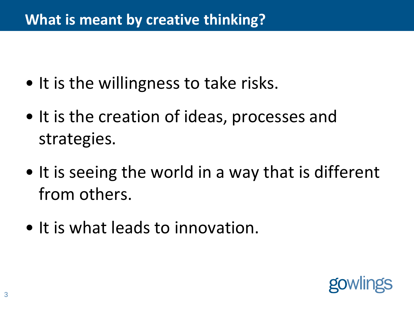### **What is meant by creative thinking?**

- It is the willingness to take risks.
- It is the creation of ideas, processes and strategies.
- It is seeing the world in a way that is different from others.
- It is what leads to innovation.

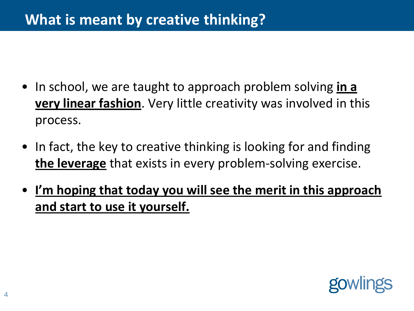- In school, we are taught to approach problem solving **in a very linear fashion**. Very little creativity was involved in this process.
- In fact, the key to creative thinking is looking for and finding **the leverage** that exists in every problem-solving exercise.
- **I'm hoping that today you will see the merit in this approach and start to use it yourself.**

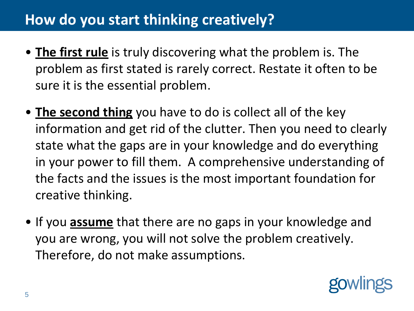- **The first rule** is truly discovering what the problem is. The problem as first stated is rarely correct. Restate it often to be sure it is the essential problem.
- **The second thing** you have to do is collect all of the key information and get rid of the clutter. Then you need to clearly state what the gaps are in your knowledge and do everything in your power to fill them. A comprehensive understanding of the facts and the issues is the most important foundation for creative thinking.
- If you **assume** that there are no gaps in your knowledge and you are wrong, you will not solve the problem creatively. Therefore, do not make assumptions.

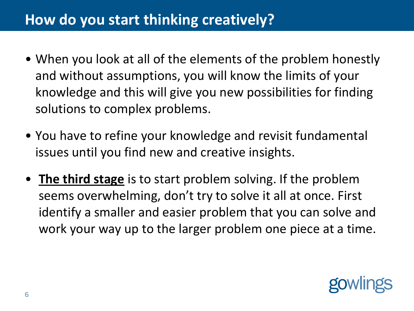- When you look at all of the elements of the problem honestly and without assumptions, you will know the limits of your knowledge and this will give you new possibilities for finding solutions to complex problems.
- You have to refine your knowledge and revisit fundamental issues until you find new and creative insights.
- **The third stage** is to start problem solving. If the problem seems overwhelming, don't try to solve it all at once. First identify a smaller and easier problem that you can solve and work your way up to the larger problem one piece at a time.

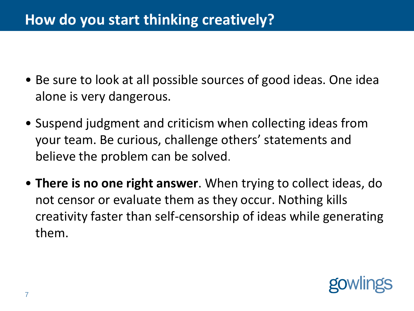- Be sure to look at all possible sources of good ideas. One idea alone is very dangerous.
- Suspend judgment and criticism when collecting ideas from your team. Be curious, challenge others' statements and believe the problem can be solved.
- **There is no one right answer**. When trying to collect ideas, do not censor or evaluate them as they occur. Nothing kills creativity faster than self-censorship of ideas while generating them.

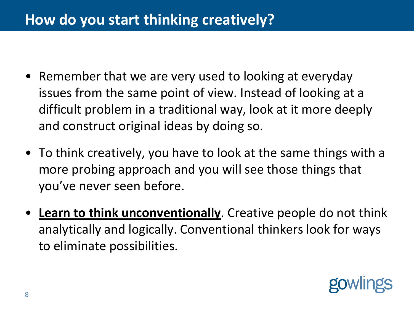- Remember that we are very used to looking at everyday issues from the same point of view. Instead of looking at a difficult problem in a traditional way, look at it more deeply and construct original ideas by doing so.
- To think creatively, you have to look at the same things with a more probing approach and you will see those things that you've never seen before.
- **Learn to think unconventionally**. Creative people do not think analytically and logically. Conventional thinkers look for ways to eliminate possibilities.

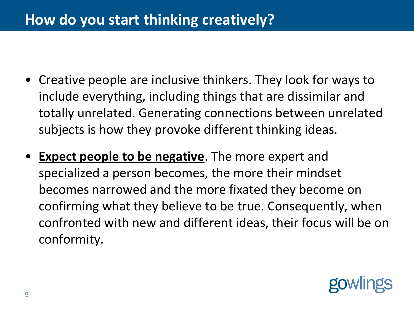- Creative people are inclusive thinkers. They look for ways to include everything, including things that are dissimilar and totally unrelated. Generating connections between unrelated subjects is how they provoke different thinking ideas.
- **Expect people to be negative**. The more expert and specialized a person becomes, the more their mindset becomes narrowed and the more fixated they become on confirming what they believe to be true. Consequently, when confronted with new and different ideas, their focus will be on conformity.

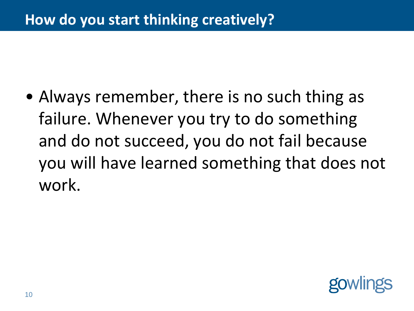• Always remember, there is no such thing as failure. Whenever you try to do something and do not succeed, you do not fail because you will have learned something that does not work.

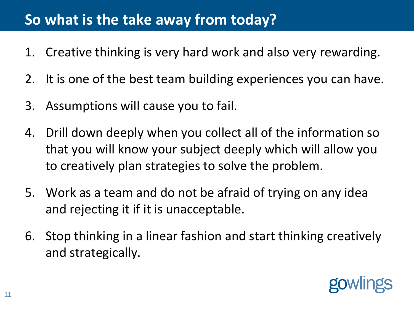## **So what is the take away from today?**

- 1. Creative thinking is very hard work and also very rewarding.
- 2. It is one of the best team building experiences you can have.
- 3. Assumptions will cause you to fail.
- 4. Drill down deeply when you collect all of the information so that you will know your subject deeply which will allow you to creatively plan strategies to solve the problem.
- 5. Work as a team and do not be afraid of trying on any idea and rejecting it if it is unacceptable.
- 6. Stop thinking in a linear fashion and start thinking creatively and strategically.

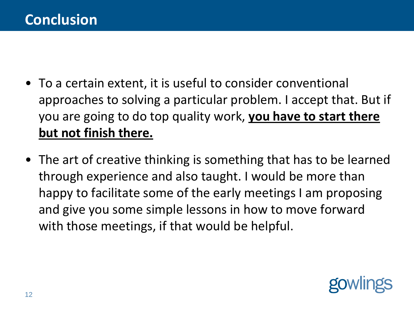- To a certain extent, it is useful to consider conventional approaches to solving a particular problem. I accept that. But if you are going to do top quality work, **you have to start there but not finish there.**
- The art of creative thinking is something that has to be learned through experience and also taught. I would be more than happy to facilitate some of the early meetings I am proposing and give you some simple lessons in how to move forward with those meetings, if that would be helpful.